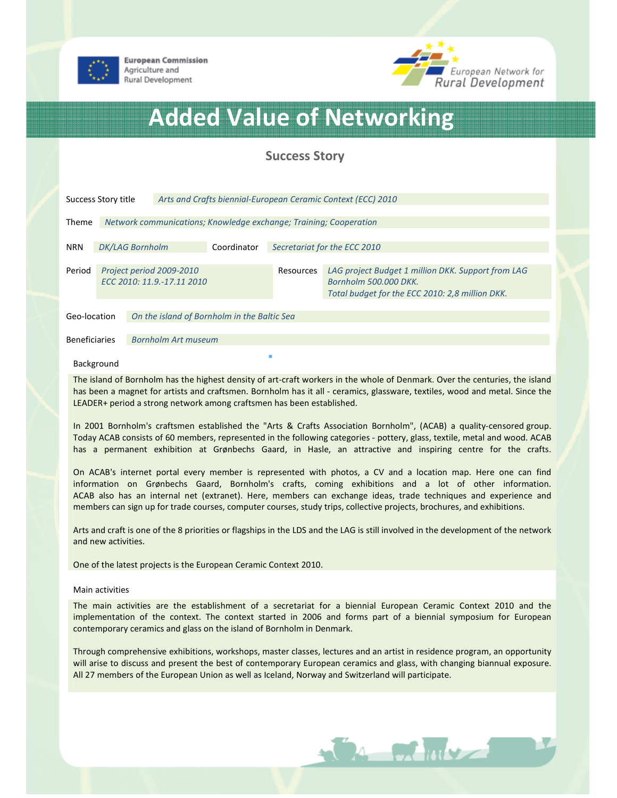

**European Commission** Agriculture and Rural Development



# Added Value of Networking

# Success Story

| Success Story title  |                                                                   | Arts and Crafts biennial-European Ceramic Context (ECC) 2010 |           |                                                                                                                                |  |  |
|----------------------|-------------------------------------------------------------------|--------------------------------------------------------------|-----------|--------------------------------------------------------------------------------------------------------------------------------|--|--|
| <b>Theme</b>         | Network communications; Knowledge exchange; Training; Cooperation |                                                              |           |                                                                                                                                |  |  |
| <b>NRN</b>           |                                                                   | <b>DK/LAG Bornholm</b><br>Coordinator                        |           | Secretariat for the ECC 2010                                                                                                   |  |  |
| Period               | Project period 2009-2010<br>ECC 2010: 11.9.-17.11 2010            |                                                              | Resources | LAG project Budget 1 million DKK. Support from LAG<br>Bornholm 500.000 DKK.<br>Total budget for the ECC 2010: 2,8 million DKK. |  |  |
| Geo-location         |                                                                   | On the island of Bornholm in the Baltic Sea                  |           |                                                                                                                                |  |  |
| <b>Beneficiaries</b> |                                                                   | <b>Bornholm Art museum</b>                                   |           |                                                                                                                                |  |  |

### Background

The island of Bornholm has the highest density of art-craft workers in the whole of Denmark. Over the centuries, the island has been a magnet for artists and craftsmen. Bornholm has it all - ceramics, glassware, textiles, wood and metal. Since the LEADER+ period a strong network among craftsmen has been established.

In 2001 Bornholm's craftsmen established the "Arts & Crafts Association Bornholm", (ACAB) a quality-censored group. Today ACAB consists of 60 members, represented in the following categories - pottery, glass, textile, metal and wood. ACAB has a permanent exhibition at Grønbechs Gaard, in Hasle, an attractive and inspiring centre for the crafts.

On ACAB's internet portal every member is represented with photos, a CV and a location map. Here one can find information on Grønbechs Gaard, Bornholm's crafts, coming exhibitions and a lot of other information. ACAB also has an internal net (extranet). Here, members can exchange ideas, trade techniques and experience and members can sign up for trade courses, computer courses, study trips, collective projects, brochures, and exhibitions.

Arts and craft is one of the 8 priorities or flagships in the LDS and the LAG is still involved in the development of the network and new activities.

One of the latest projects is the European Ceramic Context 2010.

## Main activities

The main activities are the establishment of a secretariat for a biennial European Ceramic Context 2010 and the implementation of the context. The context started in 2006 and forms part of a biennial symposium for European contemporary ceramics and glass on the island of Bornholm in Denmark.

Through comprehensive exhibitions, workshops, master classes, lectures and an artist in residence program, an opportunity will arise to discuss and present the best of contemporary European ceramics and glass, with changing biannual exposure. All 27 members of the European Union as well as Iceland, Norway and Switzerland will participate.

 $\frac{1}{24}$  or  $\frac{1}{24}$  and  $\frac{1}{24}$